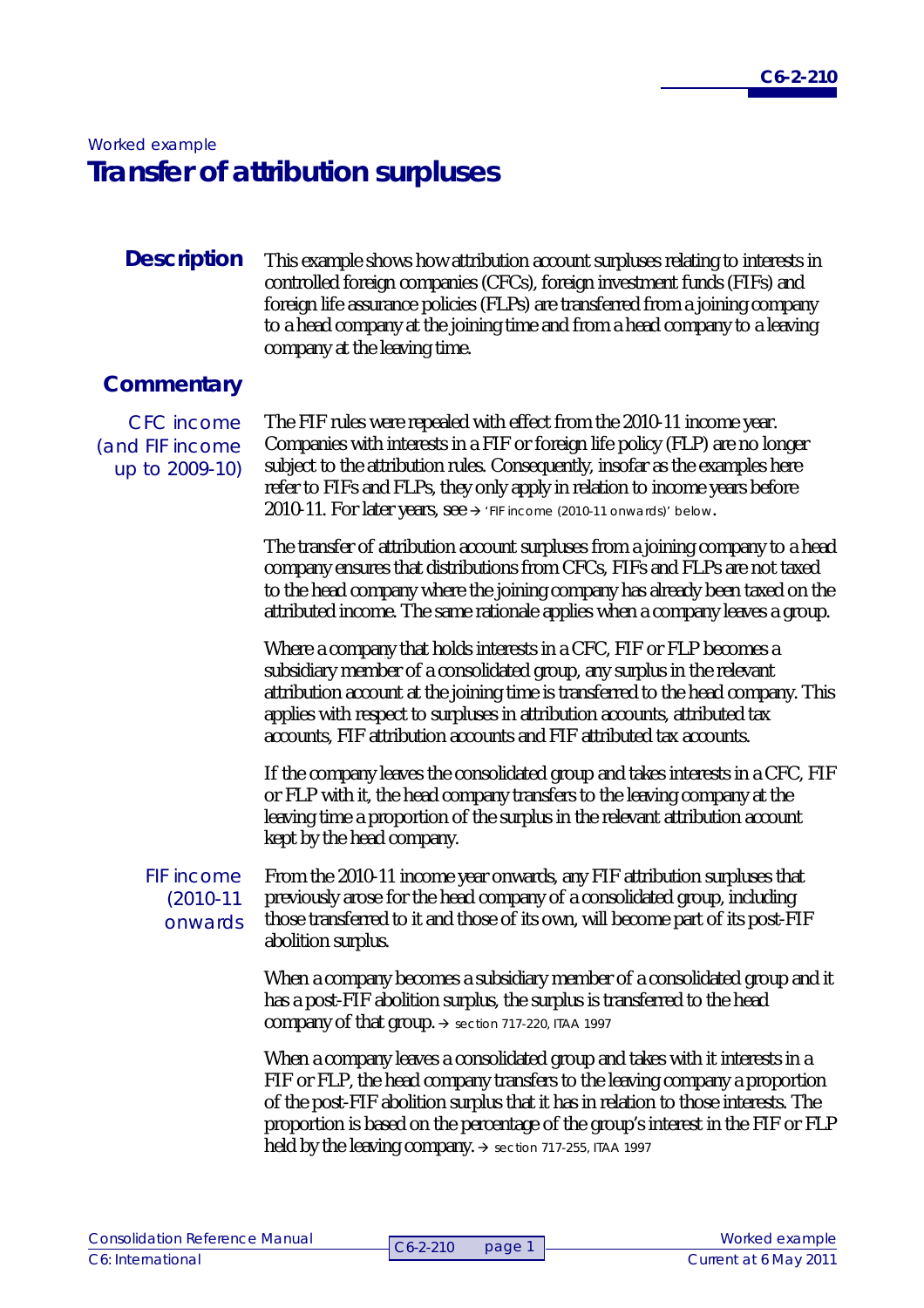# *Worked example* **Transfer of attribution surpluses**

This example shows how attribution account surpluses relating to interests in controlled foreign companies (CFCs), foreign investment funds (FIFs) and foreign life assurance policies (FLPs) are transferred from a joining company to a head company at the joining time and from a head company to a leaving company at the leaving time. **Description**

#### **Commentary**

CFC income (and FIF income up to 2009-10)

The FIF rules were repealed with effect from the 2010-11 income year. Companies with interests in a FIF or foreign life policy (FLP) are no longer subject to the attribution rules. Consequently, insofar as the examples here refer to FIFs and FLPs, they only apply in relation to income years before 2010-11. For later years, see  $\rightarrow$  'FIF income (2010-11 onwards)' below.

The transfer of attribution account surpluses from a joining company to a head company ensures that distributions from CFCs, FIFs and FLPs are not taxed to the head company where the joining company has already been taxed on the attributed income. The same rationale applies when a company leaves a group.

Where a company that holds interests in a CFC, FIF or FLP becomes a subsidiary member of a consolidated group, any surplus in the relevant attribution account at the joining time is transferred to the head company. This applies with respect to surpluses in attribution accounts, attributed tax accounts, FIF attribution accounts and FIF attributed tax accounts.

If the company leaves the consolidated group and takes interests in a CFC, FIF or FLP with it, the head company transfers to the leaving company at the leaving time a proportion of the surplus in the relevant attribution account kept by the head company.

From the 2010-11 income year onwards, any FIF attribution surpluses that previously arose for the head company of a consolidated group, including those transferred to it and those of its own, will become part of its post-FIF abolition surplus. FIF income (2010-11 onwards

> When a company becomes a subsidiary member of a consolidated group and it has a post-FIF abolition surplus, the surplus is transferred to the head company of that group.  $\rightarrow$  section 717-220, ITAA 1997

> When a company leaves a consolidated group and takes with it interests in a FIF or FLP, the head company transfers to the leaving company a proportion of the post-FIF abolition surplus that it has in relation to those interests. The proportion is based on the percentage of the group's interest in the FIF or FLP held by the leaving company.  $\rightarrow$  section 717-255, ITAA 1997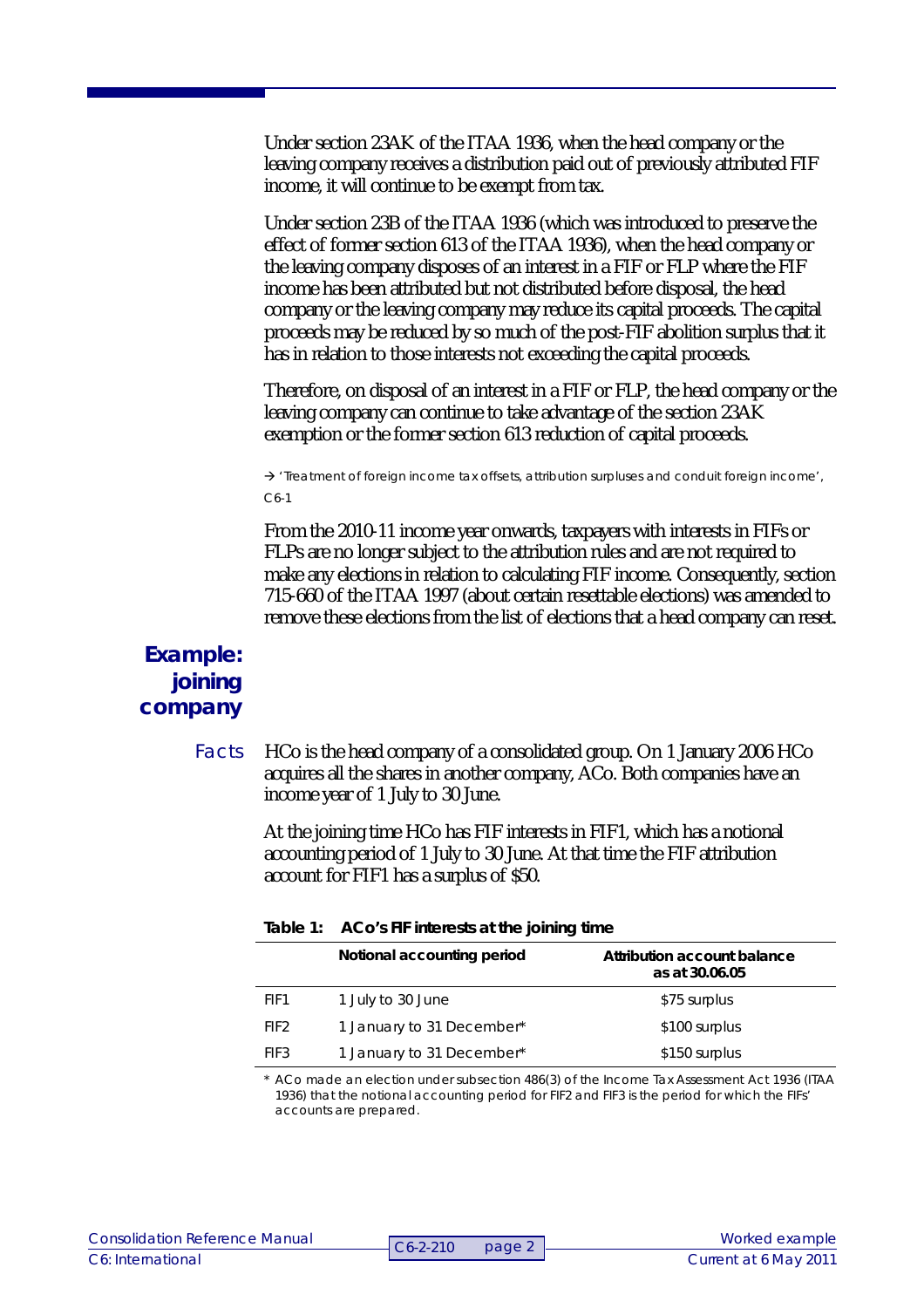Under section 23AK of the ITAA 1936, when the head company or the leaving company receives a distribution paid out of previously attributed FIF income, it will continue to be exempt from tax.

Under section 23B of the ITAA 1936 (which was introduced to preserve the effect of former section 613 of the ITAA 1936), when the head company or the leaving company disposes of an interest in a FIF or FLP where the FIF income has been attributed but not distributed before disposal, the head company or the leaving company may reduce its capital proceeds. The capital proceeds may be reduced by so much of the post-FIF abolition surplus that it has in relation to those interests not exceeding the capital proceeds.

Therefore, on disposal of an interest in a FIF or FLP, the head company or the leaving company can continue to take advantage of the section 23AK exemption or the former section 613 reduction of capital proceeds.

+ 'Treatment of foreign income tax offsets, attribution surpluses and conduit foreign income', C6-1

From the 2010-11 income year onwards, taxpayers with interests in FIFs or FLPs are no longer subject to the attribution rules and are not required to make any elections in relation to calculating FIF income. Consequently, section 715-660 of the ITAA 1997 (about certain resettable elections) was amended to remove these elections from the list of elections that a head company can reset.

## **Example: joining company**

HCo is the head company of a consolidated group. On 1 January 2006 HCo acquires all the shares in another company, ACo. Both companies have an income year of 1 July to 30 June. Facts

> At the joining time HCo has FIF interests in FIF1, which has a notional accounting period of 1 July to 30 June. At that time the FIF attribution account for FIF1 has a surplus of \$50.

|                  | Notional accounting period | Attribution account balance<br>as at 30.06.05 |
|------------------|----------------------------|-----------------------------------------------|
| FIF <sub>1</sub> | 1 July to 30 June          | \$75 surplus                                  |
| FIF <sub>2</sub> | 1 January to 31 December*  | \$100 surplus                                 |
| FIF3             | 1 January to 31 December*  | \$150 surplus                                 |

**Table 1: ACo's FIF interests at the joining time**

\* ACo made an election under subsection 486(3) of the *Income Tax Assessment Act 1936* (ITAA 1936) that the notional accounting period for FIF2 and FIF3 is the period for which the FIFs' accounts are prepared.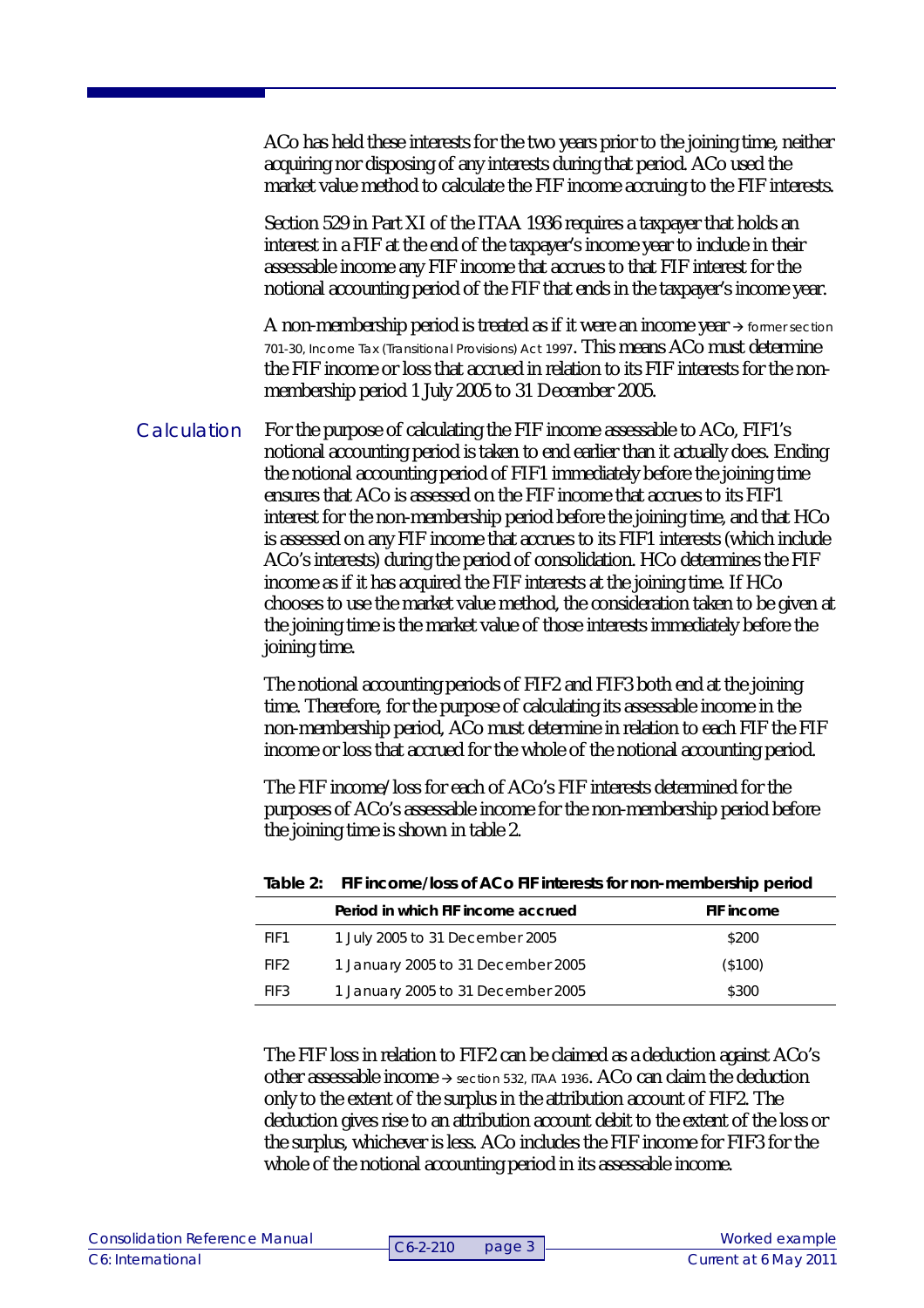ACo has held these interests for the two years prior to the joining time, neither acquiring nor disposing of any interests during that period. ACo used the market value method to calculate the FIF income accruing to the FIF interests.

Section 529 in Part XI of the ITAA 1936 requires a taxpayer that holds an interest in a FIF at the end of the taxpayer's income year to include in their assessable income any FIF income that accrues to that FIF interest for the notional accounting period of the FIF that ends in the taxpayer's income year.

A non-membership period is treated as if it were an income year  $\rightarrow$  former section 701-30, *Income Tax (Transitional Provisions) Act 1997*. This means ACo must determine the FIF income or loss that accrued in relation to its FIF interests for the nonmembership period 1 July 2005 to 31 December 2005.

For the purpose of calculating the FIF income assessable to ACo, FIF1's notional accounting period is taken to end earlier than it actually does. Ending the notional accounting period of FIF1 immediately before the joining time ensures that ACo is assessed on the FIF income that accrues to its FIF1 interest for the non-membership period before the joining time, and that HCo is assessed on any FIF income that accrues to its FIF1 interests (which include ACo's interests) during the period of consolidation. HCo determines the FIF income as if it has acquired the FIF interests at the joining time. If HCo chooses to use the market value method, the consideration taken to be given at the joining time is the market value of those interests immediately before the joining time. **Calculation** 

> The notional accounting periods of FIF2 and FIF3 both end at the joining time. Therefore, for the purpose of calculating its assessable income in the non-membership period, ACo must determine in relation to each FIF the FIF income or loss that accrued for the whole of the notional accounting period.

The FIF income/loss for each of ACo's FIF interests determined for the purposes of ACo's assessable income for the non-membership period before the joining time is shown in table 2.

|                  | Table 2: FIF income/loss of ACo FIF interests for non-membership period |            |  |  |  |
|------------------|-------------------------------------------------------------------------|------------|--|--|--|
|                  | Period in which FIF income accrued                                      | FIF income |  |  |  |
| FIF1             | 1 July 2005 to 31 December 2005                                         | \$200      |  |  |  |
| FIF <sub>2</sub> | 1 January 2005 to 31 December 2005                                      | (\$100)    |  |  |  |
| FIF3             | 1 January 2005 to 31 December 2005                                      | \$300      |  |  |  |

The FIF loss in relation to FIF2 can be claimed as a deduction against ACo's other assessable income  $\rightarrow$  section 532, ITAA 1936. ACo can claim the deduction only to the extent of the surplus in the attribution account of FIF2. The deduction gives rise to an attribution account debit to the extent of the loss or the surplus, whichever is less. ACo includes the FIF income for FIF3 for the whole of the notional accounting period in its assessable income.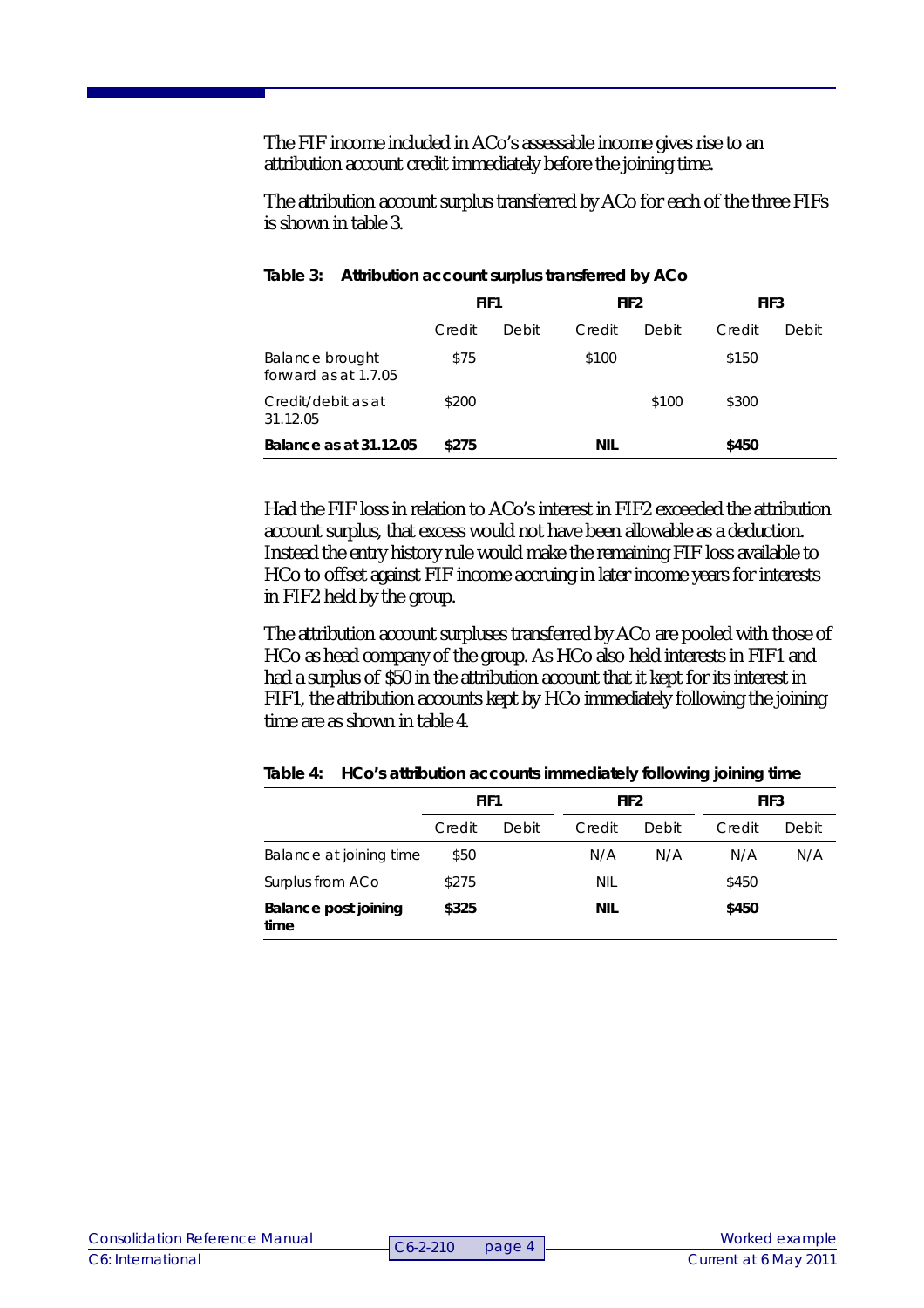The FIF income included in ACo's assessable income gives rise to an attribution account credit immediately before the joining time.

The attribution account surplus transferred by ACo for each of the three FIFs is shown in table 3.

|                                         | FIF1   |       | FIF <sub>2</sub> |       | FIF <sub>3</sub> |       |
|-----------------------------------------|--------|-------|------------------|-------|------------------|-------|
|                                         | Credit | Debit | Credit           | Debit | Credit           | Debit |
| Balance brought<br>forward as at 1.7.05 | \$75   |       | \$100            |       | \$150            |       |
| Credit/debit as at<br>31.12.05          | \$200  |       |                  | \$100 | \$300            |       |
| Balance as at 31.12.05                  | \$275  |       | <b>NIL</b>       |       | \$450            |       |

**Table 3: Attribution account surplus transferred by ACo**

Had the FIF loss in relation to ACo's interest in FIF2 exceeded the attribution account surplus, that excess would not have been allowable as a deduction. Instead the entry history rule would make the remaining FIF loss available to HCo to offset against FIF income accruing in later income years for interests in FIF2 held by the group.

The attribution account surpluses transferred by ACo are pooled with those of HCo as head company of the group. As HCo also held interests in FIF1 and had a surplus of \$50 in the attribution account that it kept for its interest in FIF1, the attribution accounts kept by HCo immediately following the joining time are as shown in table 4.

|                              | FIF1   |       | FIF <sub>2</sub> |       | FIF <sub>3</sub> |       |
|------------------------------|--------|-------|------------------|-------|------------------|-------|
|                              | Credit | Debit | Credit           | Debit | Credit           | Debit |
| Balance at joining time      | \$50   |       | N/A              | N/A   | N/A              | N/A   |
| Surplus from ACo             | \$275  |       | <b>NIL</b>       |       | \$450            |       |
| Balance post joining<br>time | \$325  |       | <b>NIL</b>       |       | \$450            |       |

**Table 4: HCo's attribution accounts immediately following joining time**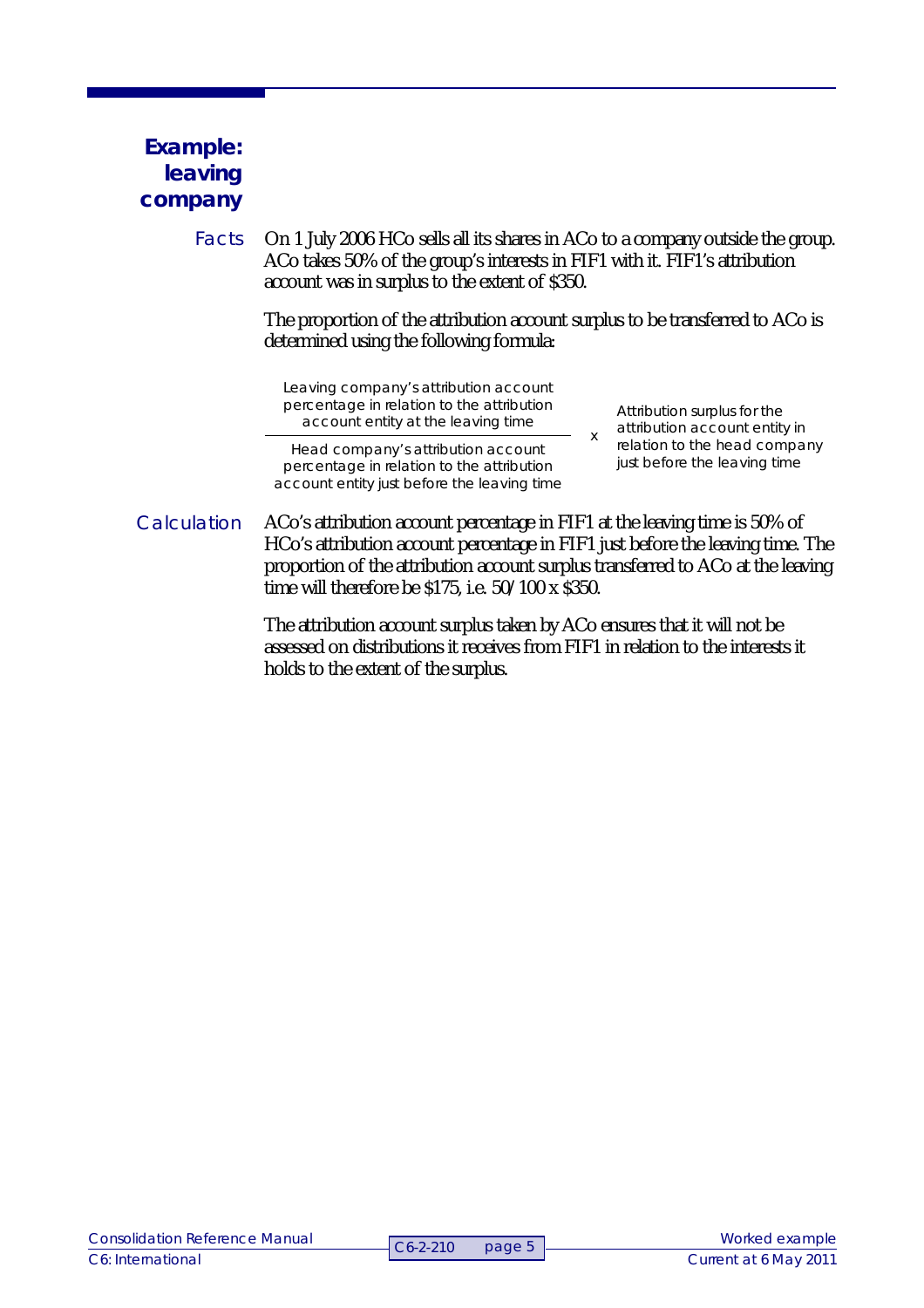## **Example: leaving company**

On 1 July 2006 HCo sells all its shares in ACo to a company outside the group. ACo takes 50% of the group's interests in FIF1 with it. FIF1's attribution account was in surplus to the extent of \$350. Facts

> The proportion of the attribution account surplus to be transferred to ACo is determined using the following formula:

> > x

Leaving company's attribution account percentage in relation to the attribution account entity at the leaving time

Head company's attribution account percentage in relation to the attribution account entity just before the leaving time

Attribution surplus for the attribution account entity in relation to the head company just before the leaving time

ACo's attribution account percentage in FIF1 at the leaving time is 50% of HCo's attribution account percentage in FIF1 just before the leaving time. The proportion of the attribution account surplus transferred to ACo at the leaving time will therefore be \$175, i.e. 50/100 x \$350. **Calculation** 

> The attribution account surplus taken by ACo ensures that it will not be assessed on distributions it receives from FIF1 in relation to the interests it holds to the extent of the surplus.